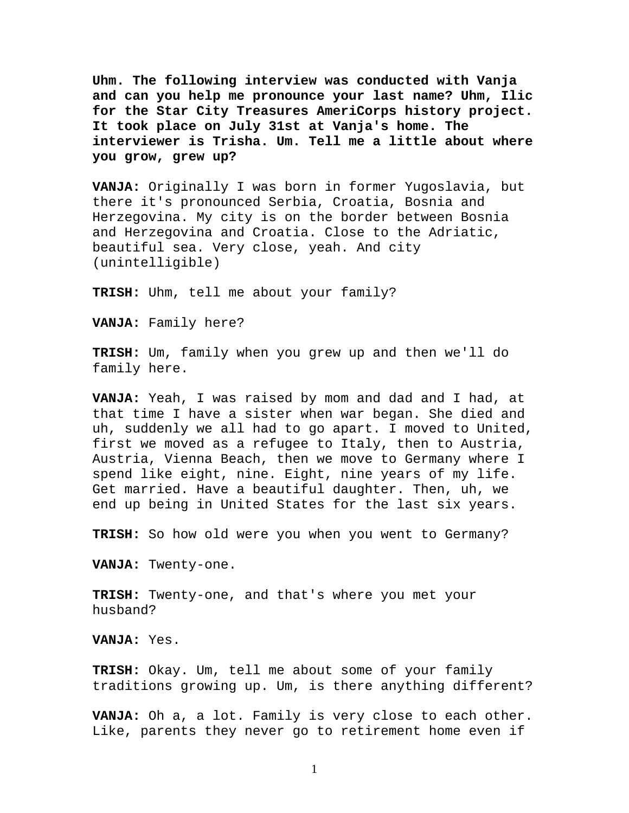**Uhm. The following interview was conducted with Vanja and can you help me pronounce your last name? Uhm, Ilic for the Star City Treasures AmeriCorps history project. It took place on July 31st at Vanja's home. The interviewer is Trisha. Um. Tell me a little about where you grow, grew up?** 

**VANJA:** Originally I was born in former Yugoslavia, but there it's pronounced Serbia, Croatia, Bosnia and Herzegovina. My city is on the border between Bosnia and Herzegovina and Croatia. Close to the Adriatic, beautiful sea. Very close, yeah. And city (unintelligible)

**TRISH:** Uhm, tell me about your family?

**VANJA:** Family here?

**TRISH:** Um, family when you grew up and then we'll do family here.

**VANJA:** Yeah, I was raised by mom and dad and I had, at that time I have a sister when war began. She died and uh, suddenly we all had to go apart. I moved to United, first we moved as a refugee to Italy, then to Austria, Austria, Vienna Beach, then we move to Germany where I spend like eight, nine. Eight, nine years of my life. Get married. Have a beautiful daughter. Then, uh, we end up being in United States for the last six years.

**TRISH:** So how old were you when you went to Germany?

**VANJA:** Twenty-one.

**TRISH:** Twenty-one, and that's where you met your husband?

**VANJA:** Yes.

**TRISH:** Okay. Um, tell me about some of your family traditions growing up. Um, is there anything different?

**VANJA:** Oh a, a lot. Family is very close to each other. Like, parents they never go to retirement home even if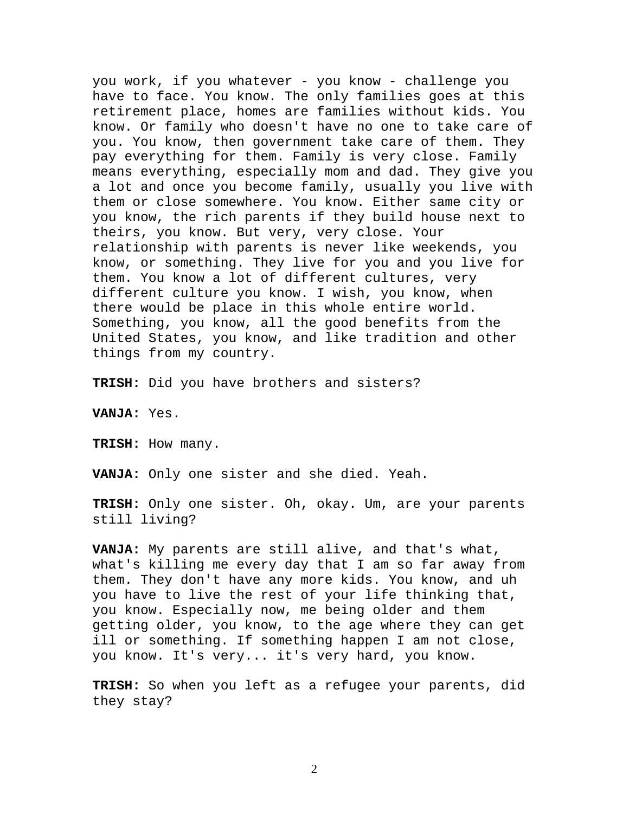you work, if you whatever - you know - challenge you have to face. You know. The only families goes at this retirement place, homes are families without kids. You know. Or family who doesn't have no one to take care of you. You know, then government take care of them. They pay everything for them. Family is very close. Family means everything, especially mom and dad. They give you a lot and once you become family, usually you live with them or close somewhere. You know. Either same city or you know, the rich parents if they build house next to theirs, you know. But very, very close. Your relationship with parents is never like weekends, you know, or something. They live for you and you live for them. You know a lot of different cultures, very different culture you know. I wish, you know, when there would be place in this whole entire world. Something, you know, all the good benefits from the United States, you know, and like tradition and other things from my country.

**TRISH:** Did you have brothers and sisters?

**VANJA:** Yes.

**TRISH:** How many.

**VANJA:** Only one sister and she died. Yeah.

**TRISH:** Only one sister. Oh, okay. Um, are your parents still living?

**VANJA:** My parents are still alive, and that's what, what's killing me every day that I am so far away from them. They don't have any more kids. You know, and uh you have to live the rest of your life thinking that, you know. Especially now, me being older and them getting older, you know, to the age where they can get ill or something. If something happen I am not close, you know. It's very... it's very hard, you know.

**TRISH:** So when you left as a refugee your parents, did they stay?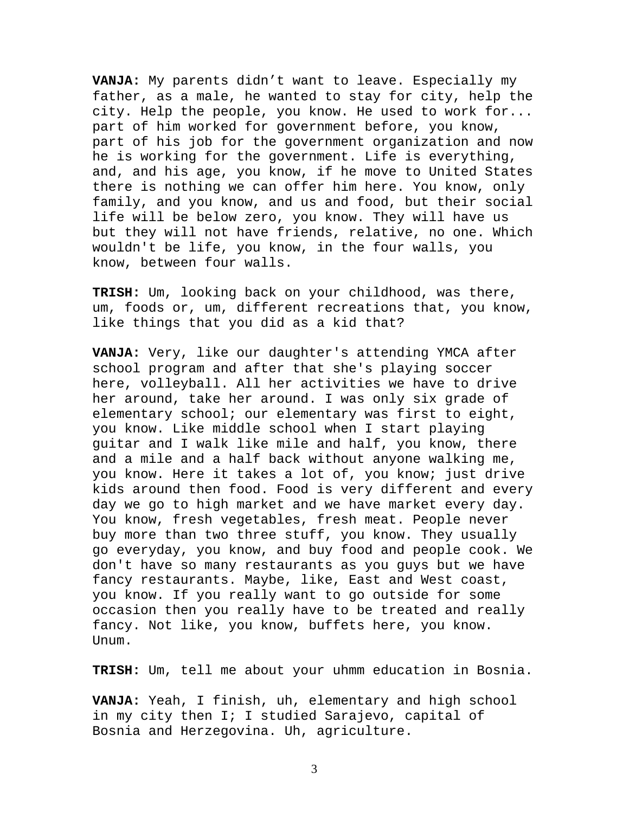**VANJA:** My parents didn't want to leave. Especially my father, as a male, he wanted to stay for city, help the city. Help the people, you know. He used to work for... part of him worked for government before, you know, part of his job for the government organization and now he is working for the government. Life is everything, and, and his age, you know, if he move to United States there is nothing we can offer him here. You know, only family, and you know, and us and food, but their social life will be below zero, you know. They will have us but they will not have friends, relative, no one. Which wouldn't be life, you know, in the four walls, you know, between four walls.

**TRISH:** Um, looking back on your childhood, was there, um, foods or, um, different recreations that, you know, like things that you did as a kid that?

**VANJA:** Very, like our daughter's attending YMCA after school program and after that she's playing soccer here, volleyball. All her activities we have to drive her around, take her around. I was only six grade of elementary school; our elementary was first to eight, you know. Like middle school when I start playing guitar and I walk like mile and half, you know, there and a mile and a half back without anyone walking me, you know. Here it takes a lot of, you know; just drive kids around then food. Food is very different and every day we go to high market and we have market every day. You know, fresh vegetables, fresh meat. People never buy more than two three stuff, you know. They usually go everyday, you know, and buy food and people cook. We don't have so many restaurants as you guys but we have fancy restaurants. Maybe, like, East and West coast, you know. If you really want to go outside for some occasion then you really have to be treated and really fancy. Not like, you know, buffets here, you know. Unum.

**TRISH:** Um, tell me about your uhmm education in Bosnia.

**VANJA:** Yeah, I finish, uh, elementary and high school in my city then I; I studied Sarajevo, capital of Bosnia and Herzegovina. Uh, agriculture.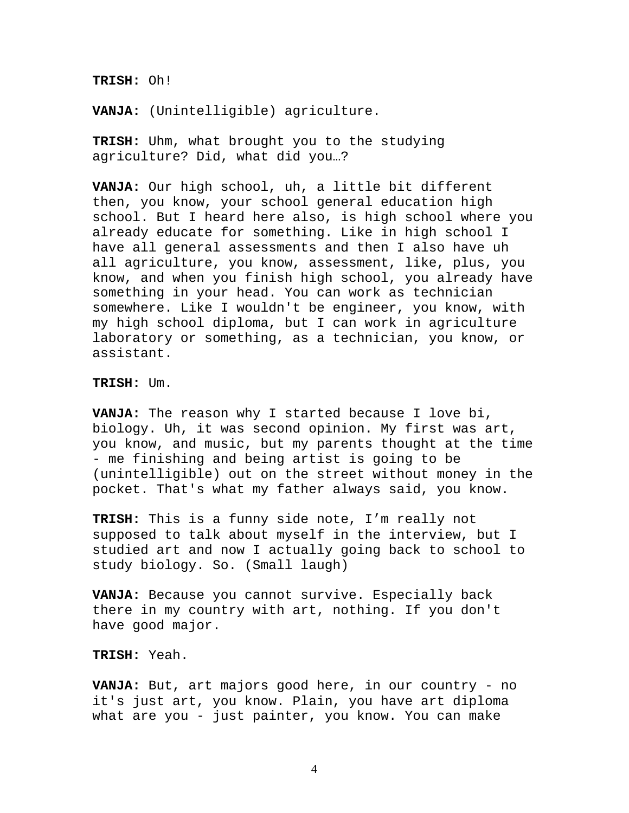**TRISH:** Oh!

**VANJA:** (Unintelligible) agriculture.

**TRISH:** Uhm, what brought you to the studying agriculture? Did, what did you…?

**VANJA:** Our high school, uh, a little bit different then, you know, your school general education high school. But I heard here also, is high school where you already educate for something. Like in high school I have all general assessments and then I also have uh all agriculture, you know, assessment, like, plus, you know, and when you finish high school, you already have something in your head. You can work as technician somewhere. Like I wouldn't be engineer, you know, with my high school diploma, but I can work in agriculture laboratory or something, as a technician, you know, or assistant.

**TRISH:** Um.

**VANJA:** The reason why I started because I love bi, biology. Uh, it was second opinion. My first was art, you know, and music, but my parents thought at the time - me finishing and being artist is going to be (unintelligible) out on the street without money in the pocket. That's what my father always said, you know.

**TRISH:** This is a funny side note, I'm really not supposed to talk about myself in the interview, but I studied art and now I actually going back to school to study biology. So. (Small laugh)

**VANJA:** Because you cannot survive. Especially back there in my country with art, nothing. If you don't have good major.

## **TRISH:** Yeah.

**VANJA:** But, art majors good here, in our country - no it's just art, you know. Plain, you have art diploma what are you - just painter, you know. You can make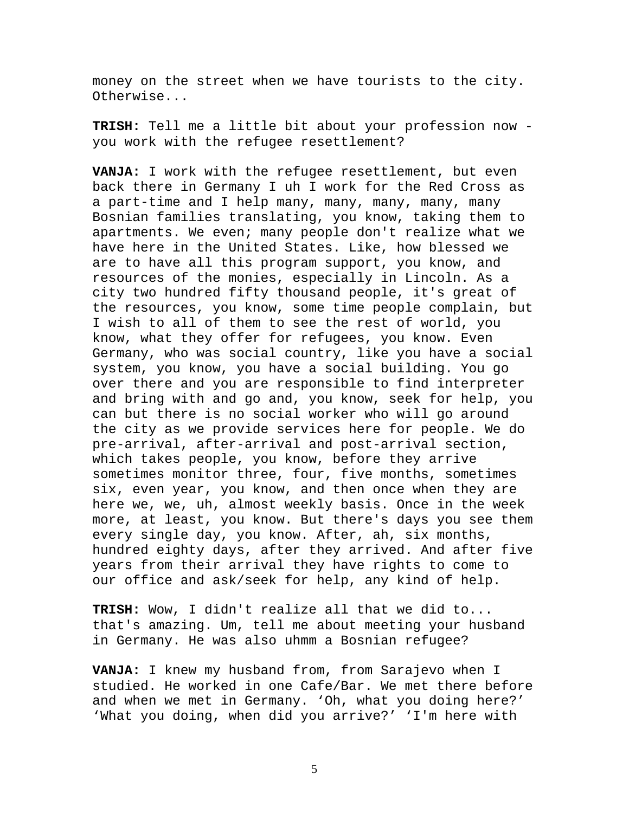money on the street when we have tourists to the city. Otherwise...

**TRISH:** Tell me a little bit about your profession now you work with the refugee resettlement?

**VANJA:** I work with the refugee resettlement, but even back there in Germany I uh I work for the Red Cross as a part-time and I help many, many, many, many, many Bosnian families translating, you know, taking them to apartments. We even; many people don't realize what we have here in the United States. Like, how blessed we are to have all this program support, you know, and resources of the monies, especially in Lincoln. As a city two hundred fifty thousand people, it's great of the resources, you know, some time people complain, but I wish to all of them to see the rest of world, you know, what they offer for refugees, you know. Even Germany, who was social country, like you have a social system, you know, you have a social building. You go over there and you are responsible to find interpreter and bring with and go and, you know, seek for help, you can but there is no social worker who will go around the city as we provide services here for people. We do pre-arrival, after-arrival and post-arrival section, which takes people, you know, before they arrive sometimes monitor three, four, five months, sometimes six, even year, you know, and then once when they are here we, we, uh, almost weekly basis. Once in the week more, at least, you know. But there's days you see them every single day, you know. After, ah, six months, hundred eighty days, after they arrived. And after five years from their arrival they have rights to come to our office and ask/seek for help, any kind of help.

**TRISH:** Wow, I didn't realize all that we did to... that's amazing. Um, tell me about meeting your husband in Germany. He was also uhmm a Bosnian refugee?

**VANJA:** I knew my husband from, from Sarajevo when I studied. He worked in one Cafe/Bar. We met there before and when we met in Germany. 'Oh, what you doing here?' 'What you doing, when did you arrive?' 'I'm here with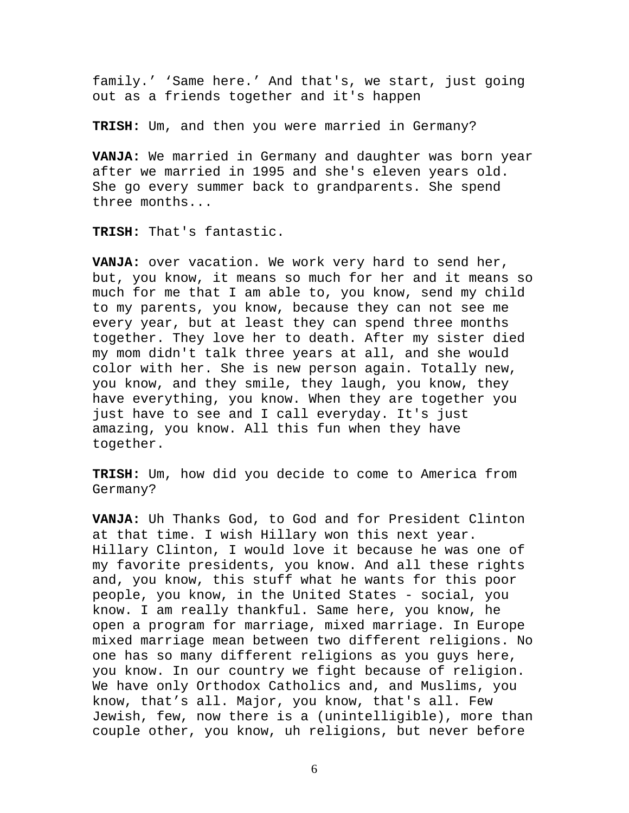family.' 'Same here.' And that's, we start, just going out as a friends together and it's happen

**TRISH:** Um, and then you were married in Germany?

**VANJA:** We married in Germany and daughter was born year after we married in 1995 and she's eleven years old. She go every summer back to grandparents. She spend three months...

**TRISH:** That's fantastic.

**VANJA:** over vacation. We work very hard to send her, but, you know, it means so much for her and it means so much for me that I am able to, you know, send my child to my parents, you know, because they can not see me every year, but at least they can spend three months together. They love her to death. After my sister died my mom didn't talk three years at all, and she would color with her. She is new person again. Totally new, you know, and they smile, they laugh, you know, they have everything, you know. When they are together you just have to see and I call everyday. It's just amazing, you know. All this fun when they have together.

**TRISH:** Um, how did you decide to come to America from Germany?

**VANJA:** Uh Thanks God, to God and for President Clinton at that time. I wish Hillary won this next year. Hillary Clinton, I would love it because he was one of my favorite presidents, you know. And all these rights and, you know, this stuff what he wants for this poor people, you know, in the United States - social, you know. I am really thankful. Same here, you know, he open a program for marriage, mixed marriage. In Europe mixed marriage mean between two different religions. No one has so many different religions as you guys here, you know. In our country we fight because of religion. We have only Orthodox Catholics and, and Muslims, you know, that's all. Major, you know, that's all. Few Jewish, few, now there is a (unintelligible), more than couple other, you know, uh religions, but never before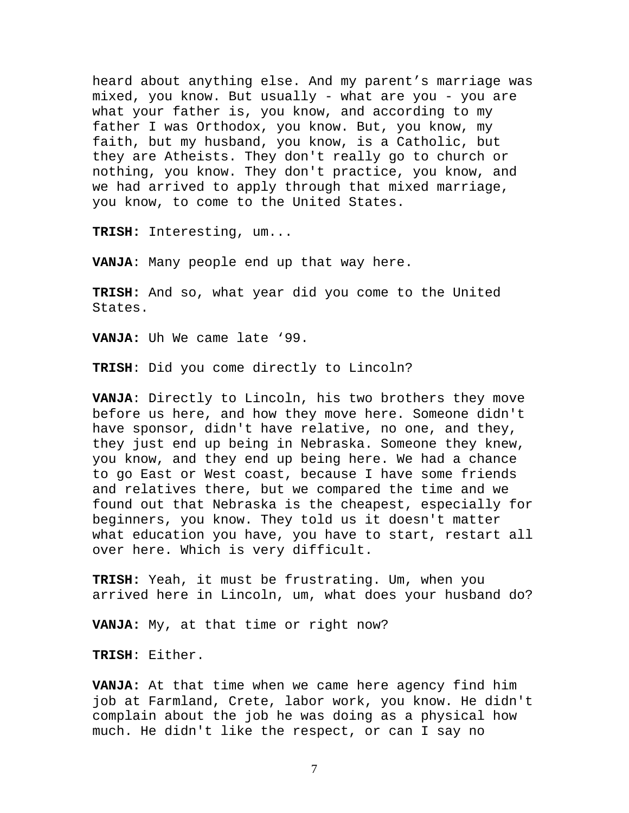heard about anything else. And my parent's marriage was mixed, you know. But usually - what are you - you are what your father is, you know, and according to my father I was Orthodox, you know. But, you know, my faith, but my husband, you know, is a Catholic, but they are Atheists. They don't really go to church or nothing, you know. They don't practice, you know, and we had arrived to apply through that mixed marriage, you know, to come to the United States.

**TRISH:** Interesting, um...

**VANJA**: Many people end up that way here.

**TRISH:** And so, what year did you come to the United States.

**VANJA:** Uh We came late '99.

**TRISH**: Did you come directly to Lincoln?

**VANJA**: Directly to Lincoln, his two brothers they move before us here, and how they move here. Someone didn't have sponsor, didn't have relative, no one, and they, they just end up being in Nebraska. Someone they knew, you know, and they end up being here. We had a chance to go East or West coast, because I have some friends and relatives there, but we compared the time and we found out that Nebraska is the cheapest, especially for beginners, you know. They told us it doesn't matter what education you have, you have to start, restart all over here. Which is very difficult.

**TRISH:** Yeah, it must be frustrating. Um, when you arrived here in Lincoln, um, what does your husband do?

**VANJA:** My, at that time or right now?

**TRISH**: Either.

**VANJA:** At that time when we came here agency find him job at Farmland, Crete, labor work, you know. He didn't complain about the job he was doing as a physical how much. He didn't like the respect, or can I say no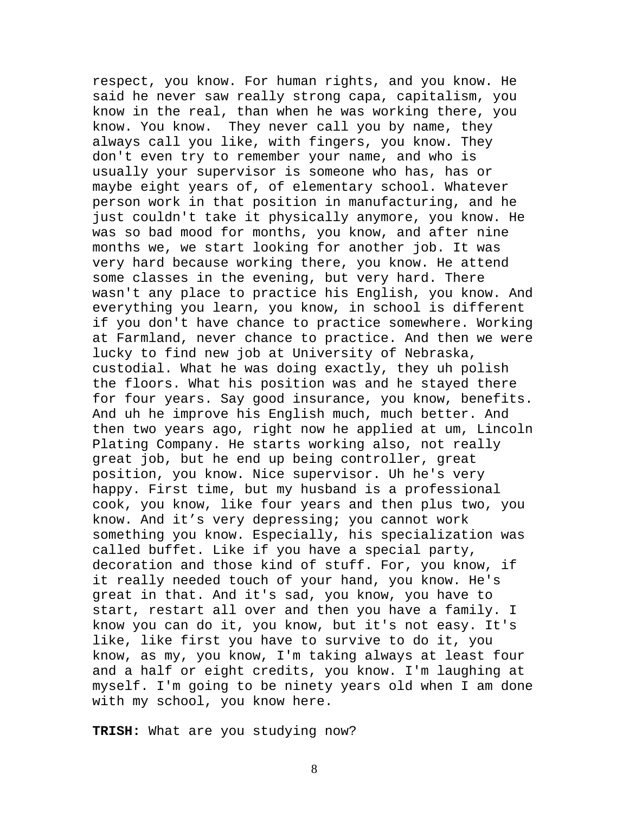respect, you know. For human rights, and you know. He said he never saw really strong capa, capitalism, you know in the real, than when he was working there, you know. You know. They never call you by name, they always call you like, with fingers, you know. They don't even try to remember your name, and who is usually your supervisor is someone who has, has or maybe eight years of, of elementary school. Whatever person work in that position in manufacturing, and he just couldn't take it physically anymore, you know. He was so bad mood for months, you know, and after nine months we, we start looking for another job. It was very hard because working there, you know. He attend some classes in the evening, but very hard. There wasn't any place to practice his English, you know. And everything you learn, you know, in school is different if you don't have chance to practice somewhere. Working at Farmland, never chance to practice. And then we were lucky to find new job at University of Nebraska, custodial. What he was doing exactly, they uh polish the floors. What his position was and he stayed there for four years. Say good insurance, you know, benefits. And uh he improve his English much, much better. And then two years ago, right now he applied at um, Lincoln Plating Company. He starts working also, not really great job, but he end up being controller, great position, you know. Nice supervisor. Uh he's very happy. First time, but my husband is a professional cook, you know, like four years and then plus two, you know. And it's very depressing; you cannot work something you know. Especially, his specialization was called buffet. Like if you have a special party, decoration and those kind of stuff. For, you know, if it really needed touch of your hand, you know. He's great in that. And it's sad, you know, you have to start, restart all over and then you have a family. I know you can do it, you know, but it's not easy. It's like, like first you have to survive to do it, you know, as my, you know, I'm taking always at least four and a half or eight credits, you know. I'm laughing at myself. I'm going to be ninety years old when I am done with my school, you know here.

**TRISH:** What are you studying now?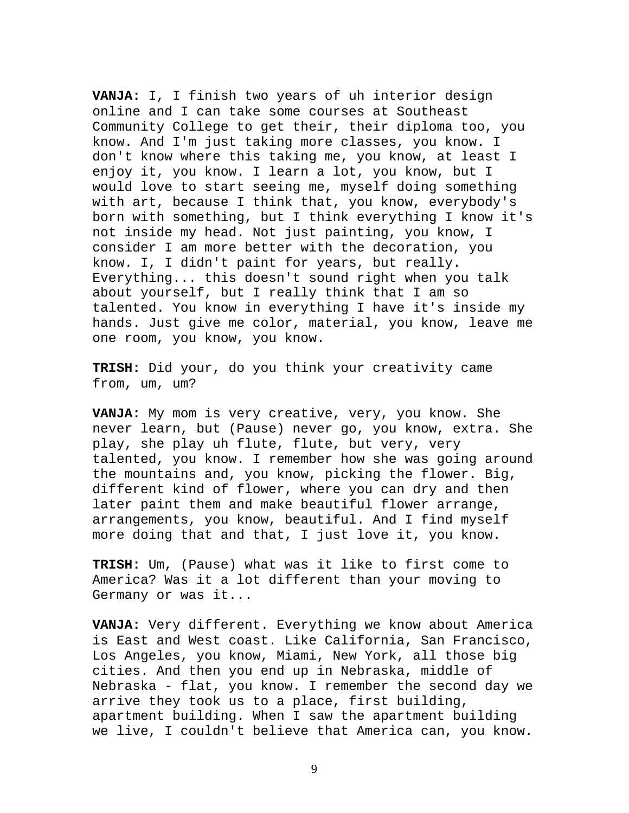**VANJA:** I, I finish two years of uh interior design online and I can take some courses at Southeast Community College to get their, their diploma too, you know. And I'm just taking more classes, you know. I don't know where this taking me, you know, at least I enjoy it, you know. I learn a lot, you know, but I would love to start seeing me, myself doing something with art, because I think that, you know, everybody's born with something, but I think everything I know it's not inside my head. Not just painting, you know, I consider I am more better with the decoration, you know. I, I didn't paint for years, but really. Everything... this doesn't sound right when you talk about yourself, but I really think that I am so talented. You know in everything I have it's inside my hands. Just give me color, material, you know, leave me one room, you know, you know.

**TRISH:** Did your, do you think your creativity came from, um, um?

**VANJA:** My mom is very creative, very, you know. She never learn, but (Pause) never go, you know, extra. She play, she play uh flute, flute, but very, very talented, you know. I remember how she was going around the mountains and, you know, picking the flower. Big, different kind of flower, where you can dry and then later paint them and make beautiful flower arrange, arrangements, you know, beautiful. And I find myself more doing that and that, I just love it, you know.

**TRISH:** Um, (Pause) what was it like to first come to America? Was it a lot different than your moving to Germany or was it...

**VANJA:** Very different. Everything we know about America is East and West coast. Like California, San Francisco, Los Angeles, you know, Miami, New York, all those big cities. And then you end up in Nebraska, middle of Nebraska - flat, you know. I remember the second day we arrive they took us to a place, first building, apartment building. When I saw the apartment building we live, I couldn't believe that America can, you know.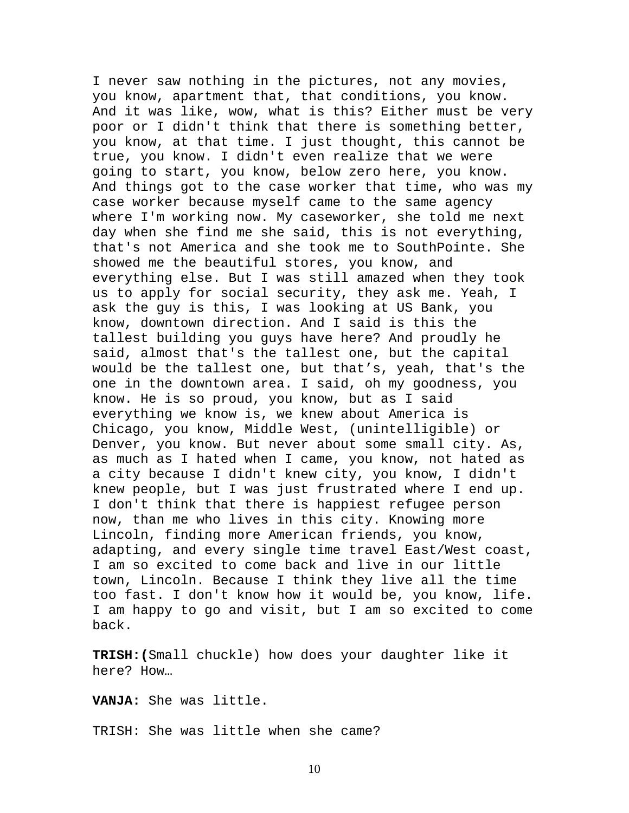I never saw nothing in the pictures, not any movies, you know, apartment that, that conditions, you know. And it was like, wow, what is this? Either must be very poor or I didn't think that there is something better, you know, at that time. I just thought, this cannot be true, you know. I didn't even realize that we were going to start, you know, below zero here, you know. And things got to the case worker that time, who was my case worker because myself came to the same agency where I'm working now. My caseworker, she told me next day when she find me she said, this is not everything, that's not America and she took me to SouthPointe. She showed me the beautiful stores, you know, and everything else. But I was still amazed when they took us to apply for social security, they ask me. Yeah, I ask the guy is this, I was looking at US Bank, you know, downtown direction. And I said is this the tallest building you guys have here? And proudly he said, almost that's the tallest one, but the capital would be the tallest one, but that's, yeah, that's the one in the downtown area. I said, oh my goodness, you know. He is so proud, you know, but as I said everything we know is, we knew about America is Chicago, you know, Middle West, (unintelligible) or Denver, you know. But never about some small city. As, as much as I hated when I came, you know, not hated as a city because I didn't knew city, you know, I didn't knew people, but I was just frustrated where I end up. I don't think that there is happiest refugee person now, than me who lives in this city. Knowing more Lincoln, finding more American friends, you know, adapting, and every single time travel East/West coast, I am so excited to come back and live in our little town, Lincoln. Because I think they live all the time too fast. I don't know how it would be, you know, life. I am happy to go and visit, but I am so excited to come back.

**TRISH:(**Small chuckle) how does your daughter like it here? How…

**VANJA:** She was little.

TRISH: She was little when she came?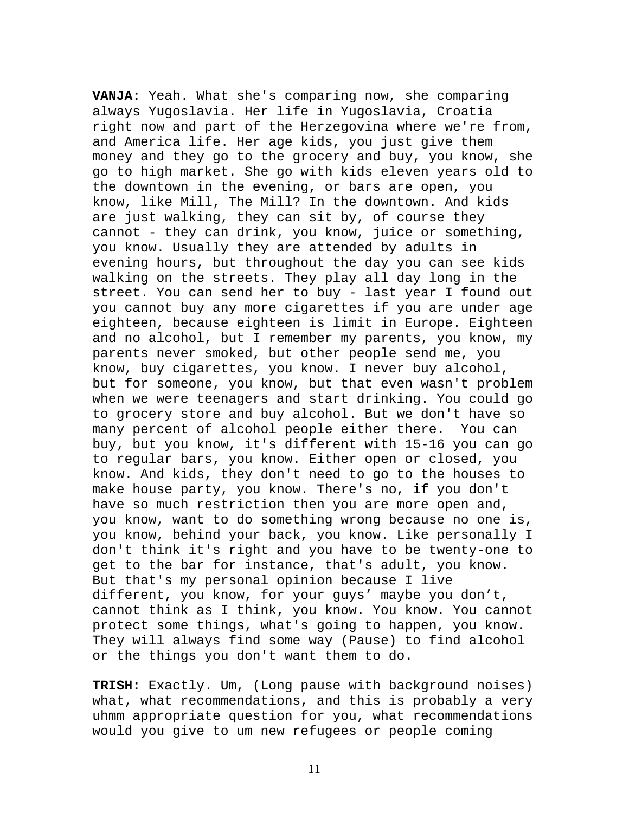**VANJA:** Yeah. What she's comparing now, she comparing always Yugoslavia. Her life in Yugoslavia, Croatia right now and part of the Herzegovina where we're from, and America life. Her age kids, you just give them money and they go to the grocery and buy, you know, she go to high market. She go with kids eleven years old to the downtown in the evening, or bars are open, you know, like Mill, The Mill? In the downtown. And kids are just walking, they can sit by, of course they cannot - they can drink, you know, juice or something, you know. Usually they are attended by adults in evening hours, but throughout the day you can see kids walking on the streets. They play all day long in the street. You can send her to buy - last year I found out you cannot buy any more cigarettes if you are under age eighteen, because eighteen is limit in Europe. Eighteen and no alcohol, but I remember my parents, you know, my parents never smoked, but other people send me, you know, buy cigarettes, you know. I never buy alcohol, but for someone, you know, but that even wasn't problem when we were teenagers and start drinking. You could go to grocery store and buy alcohol. But we don't have so many percent of alcohol people either there. You can buy, but you know, it's different with 15-16 you can go to regular bars, you know. Either open or closed, you know. And kids, they don't need to go to the houses to make house party, you know. There's no, if you don't have so much restriction then you are more open and, you know, want to do something wrong because no one is, you know, behind your back, you know. Like personally I don't think it's right and you have to be twenty-one to get to the bar for instance, that's adult, you know. But that's my personal opinion because I live different, you know, for your guys' maybe you don't, cannot think as I think, you know. You know. You cannot protect some things, what's going to happen, you know. They will always find some way (Pause) to find alcohol or the things you don't want them to do.

**TRISH:** Exactly. Um, (Long pause with background noises) what, what recommendations, and this is probably a very uhmm appropriate question for you, what recommendations would you give to um new refugees or people coming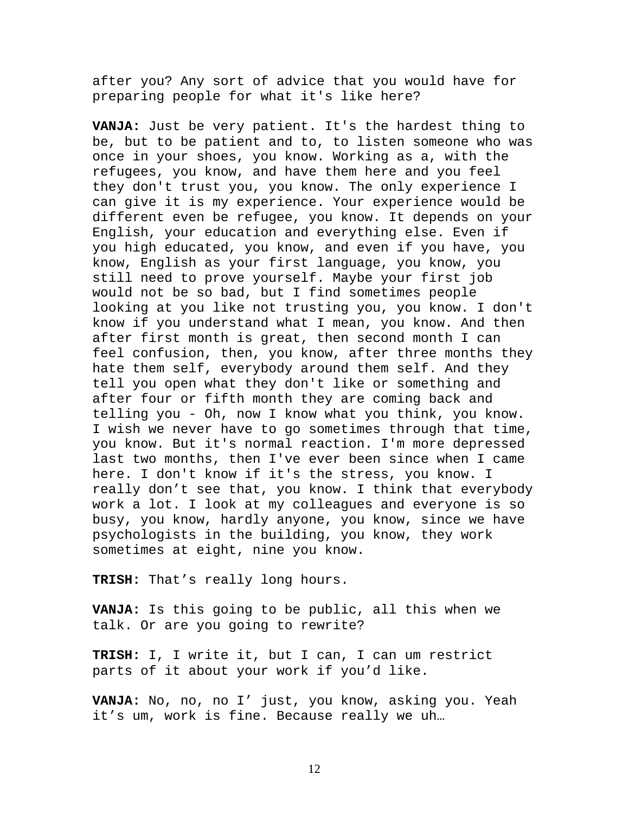after you? Any sort of advice that you would have for preparing people for what it's like here?

**VANJA:** Just be very patient. It's the hardest thing to be, but to be patient and to, to listen someone who was once in your shoes, you know. Working as a, with the refugees, you know, and have them here and you feel they don't trust you, you know. The only experience I can give it is my experience. Your experience would be different even be refugee, you know. It depends on your English, your education and everything else. Even if you high educated, you know, and even if you have, you know, English as your first language, you know, you still need to prove yourself. Maybe your first job would not be so bad, but I find sometimes people looking at you like not trusting you, you know. I don't know if you understand what I mean, you know. And then after first month is great, then second month I can feel confusion, then, you know, after three months they hate them self, everybody around them self. And they tell you open what they don't like or something and after four or fifth month they are coming back and telling you - Oh, now I know what you think, you know. I wish we never have to go sometimes through that time, you know. But it's normal reaction. I'm more depressed last two months, then I've ever been since when I came here. I don't know if it's the stress, you know. I really don't see that, you know. I think that everybody work a lot. I look at my colleagues and everyone is so busy, you know, hardly anyone, you know, since we have psychologists in the building, you know, they work sometimes at eight, nine you know.

**TRISH:** That's really long hours.

**VANJA:** Is this going to be public, all this when we talk. Or are you going to rewrite?

**TRISH:** I, I write it, but I can, I can um restrict parts of it about your work if you'd like.

**VANJA:** No, no, no I' just, you know, asking you. Yeah it's um, work is fine. Because really we uh…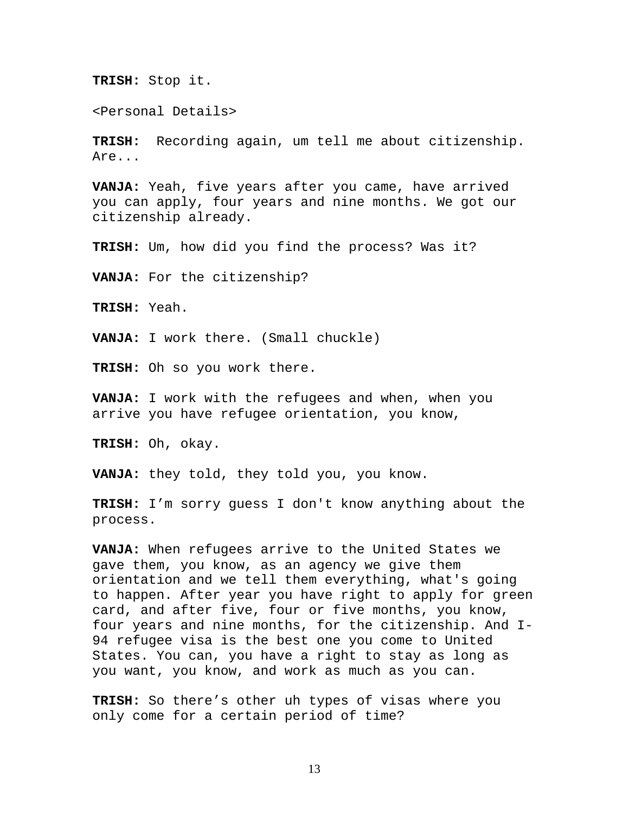**TRISH:** Stop it.

<Personal Details>

**TRISH:** Recording again, um tell me about citizenship. Are...

**VANJA:** Yeah, five years after you came, have arrived you can apply, four years and nine months. We got our citizenship already.

**TRISH:** Um, how did you find the process? Was it?

**VANJA:** For the citizenship?

**TRISH:** Yeah.

**VANJA:** I work there. (Small chuckle)

**TRISH:** Oh so you work there.

**VANJA:** I work with the refugees and when, when you arrive you have refugee orientation, you know,

**TRISH:** Oh, okay.

**VANJA:** they told, they told you, you know.

**TRISH:** I'm sorry guess I don't know anything about the process.

**VANJA:** When refugees arrive to the United States we gave them, you know, as an agency we give them orientation and we tell them everything, what's going to happen. After year you have right to apply for green card, and after five, four or five months, you know, four years and nine months, for the citizenship. And I-94 refugee visa is the best one you come to United States. You can, you have a right to stay as long as you want, you know, and work as much as you can.

**TRISH:** So there's other uh types of visas where you only come for a certain period of time?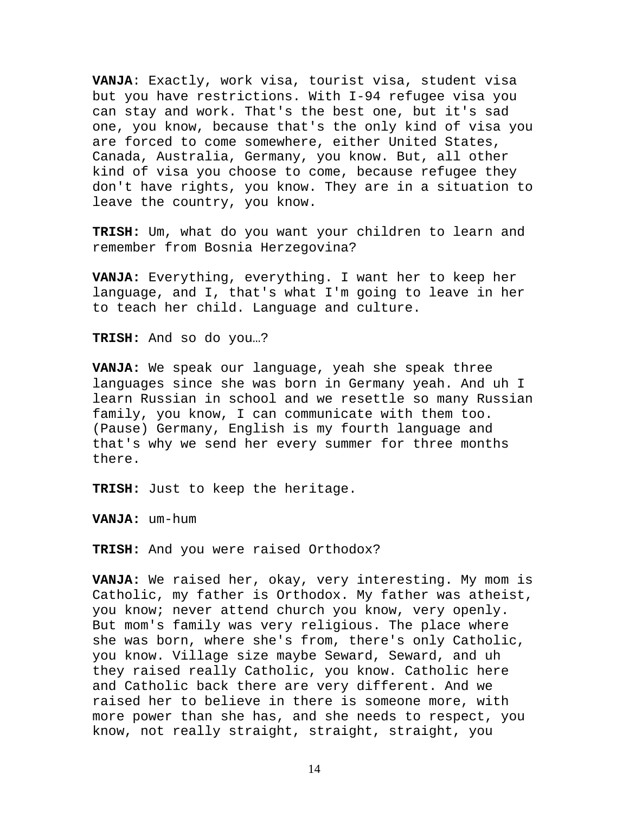**VANJA**: Exactly, work visa, tourist visa, student visa but you have restrictions. With I-94 refugee visa you can stay and work. That's the best one, but it's sad one, you know, because that's the only kind of visa you are forced to come somewhere, either United States, Canada, Australia, Germany, you know. But, all other kind of visa you choose to come, because refugee they don't have rights, you know. They are in a situation to leave the country, you know.

**TRISH:** Um, what do you want your children to learn and remember from Bosnia Herzegovina?

**VANJA:** Everything, everything. I want her to keep her language, and I, that's what I'm going to leave in her to teach her child. Language and culture.

**TRISH:** And so do you…?

**VANJA:** We speak our language, yeah she speak three languages since she was born in Germany yeah. And uh I learn Russian in school and we resettle so many Russian family, you know, I can communicate with them too. (Pause) Germany, English is my fourth language and that's why we send her every summer for three months there.

**TRISH:** Just to keep the heritage.

**VANJA:** um-hum

**TRISH:** And you were raised Orthodox?

**VANJA:** We raised her, okay, very interesting. My mom is Catholic, my father is Orthodox. My father was atheist, you know; never attend church you know, very openly. But mom's family was very religious. The place where she was born, where she's from, there's only Catholic, you know. Village size maybe Seward, Seward, and uh they raised really Catholic, you know. Catholic here and Catholic back there are very different. And we raised her to believe in there is someone more, with more power than she has, and she needs to respect, you know, not really straight, straight, straight, you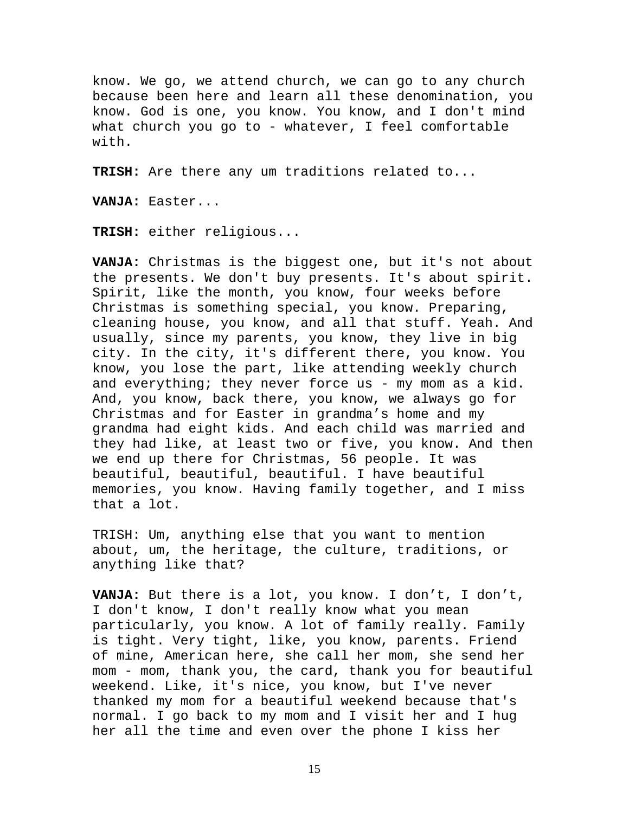know. We go, we attend church, we can go to any church because been here and learn all these denomination, you know. God is one, you know. You know, and I don't mind what church you go to - whatever, I feel comfortable with.

**TRISH:** Are there any um traditions related to...

**VANJA:** Easter...

**TRISH:** either religious...

**VANJA:** Christmas is the biggest one, but it's not about the presents. We don't buy presents. It's about spirit. Spirit, like the month, you know, four weeks before Christmas is something special, you know. Preparing, cleaning house, you know, and all that stuff. Yeah. And usually, since my parents, you know, they live in big city. In the city, it's different there, you know. You know, you lose the part, like attending weekly church and everything; they never force us - my mom as a kid. And, you know, back there, you know, we always go for Christmas and for Easter in grandma's home and my grandma had eight kids. And each child was married and they had like, at least two or five, you know. And then we end up there for Christmas, 56 people. It was beautiful, beautiful, beautiful. I have beautiful memories, you know. Having family together, and I miss that a lot.

TRISH: Um, anything else that you want to mention about, um, the heritage, the culture, traditions, or anything like that?

**VANJA:** But there is a lot, you know. I don't, I don't, I don't know, I don't really know what you mean particularly, you know. A lot of family really. Family is tight. Very tight, like, you know, parents. Friend of mine, American here, she call her mom, she send her mom - mom, thank you, the card, thank you for beautiful weekend. Like, it's nice, you know, but I've never thanked my mom for a beautiful weekend because that's normal. I go back to my mom and I visit her and I hug her all the time and even over the phone I kiss her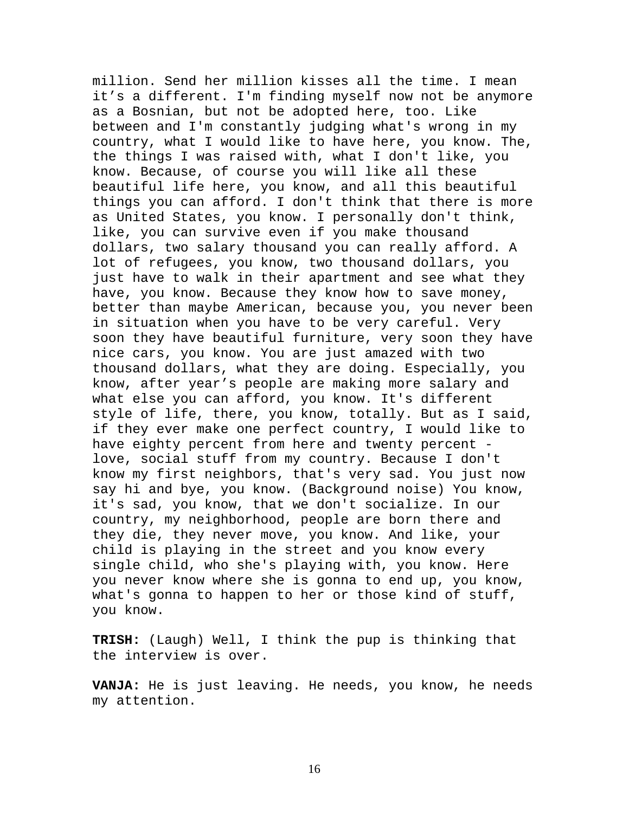million. Send her million kisses all the time. I mean it's a different. I'm finding myself now not be anymore as a Bosnian, but not be adopted here, too. Like between and I'm constantly judging what's wrong in my country, what I would like to have here, you know. The, the things I was raised with, what I don't like, you know. Because, of course you will like all these beautiful life here, you know, and all this beautiful things you can afford. I don't think that there is more as United States, you know. I personally don't think, like, you can survive even if you make thousand dollars, two salary thousand you can really afford. A lot of refugees, you know, two thousand dollars, you just have to walk in their apartment and see what they have, you know. Because they know how to save money, better than maybe American, because you, you never been in situation when you have to be very careful. Very soon they have beautiful furniture, very soon they have nice cars, you know. You are just amazed with two thousand dollars, what they are doing. Especially, you know, after year's people are making more salary and what else you can afford, you know. It's different style of life, there, you know, totally. But as I said, if they ever make one perfect country, I would like to have eighty percent from here and twenty percent love, social stuff from my country. Because I don't know my first neighbors, that's very sad. You just now say hi and bye, you know. (Background noise) You know, it's sad, you know, that we don't socialize. In our country, my neighborhood, people are born there and they die, they never move, you know. And like, your child is playing in the street and you know every single child, who she's playing with, you know. Here you never know where she is gonna to end up, you know, what's gonna to happen to her or those kind of stuff, you know.

**TRISH:** (Laugh) Well, I think the pup is thinking that the interview is over.

**VANJA:** He is just leaving. He needs, you know, he needs my attention.